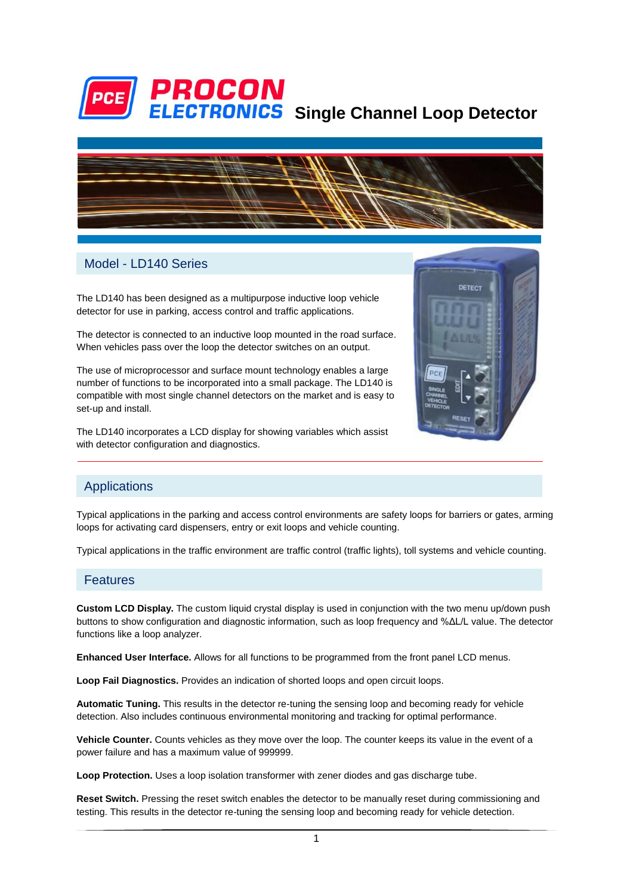

# **ELECTRONICS** Single Channel Loop Detector



#### Model - LD140 Series

The LD140 has been designed as a multipurpose inductive loop vehicle detector for use in parking, access control and traffic applications.

The detector is connected to an inductive loop mounted in the road surface. When vehicles pass over the loop the detector switches on an output.

The use of microprocessor and surface mount technology enables a large number of functions to be incorporated into a small package. The LD140 is compatible with most single channel detectors on the market and is easy to set-up and install.

The LD140 incorporates a LCD display for showing variables which assist with detector configuration and diagnostics.



#### Applications

Typical applications in the parking and access control environments are safety loops for barriers or gates, arming loops for activating card dispensers, entry or exit loops and vehicle counting.

Typical applications in the traffic environment are traffic control (traffic lights), toll systems and vehicle counting.

#### Features

**Custom LCD Display.** The custom liquid crystal display is used in conjunction with the two menu up/down push buttons to show configuration and diagnostic information, such as loop frequency and %ΔL/L value. The detector functions like a loop analyzer.

**Enhanced User Interface.** Allows for all functions to be programmed from the front panel LCD menus.

**Loop Fail Diagnostics.** Provides an indication of shorted loops and open circuit loops.

**Automatic Tuning.** This results in the detector re-tuning the sensing loop and becoming ready for vehicle detection. Also includes continuous environmental monitoring and tracking for optimal performance.

**Vehicle Counter.** Counts vehicles as they move over the loop. The counter keeps its value in the event of a power failure and has a maximum value of 999999.

**Loop Protection.** Uses a loop isolation transformer with zener diodes and gas discharge tube.

**Reset Switch.** Pressing the reset switch enables the detector to be manually reset during commissioning and testing. This results in the detector re-tuning the sensing loop and becoming ready for vehicle detection.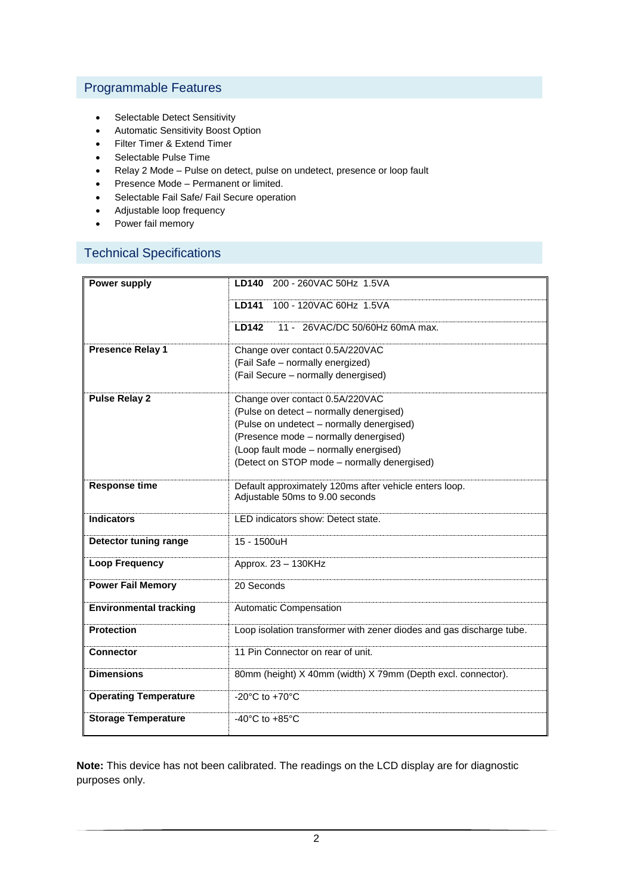### Programmable Features

- Selectable Detect Sensitivity
- Automatic Sensitivity Boost Option
- Filter Timer & Extend Timer
- Selectable Pulse Time
- Relay 2 Mode Pulse on detect, pulse on undetect, presence or loop fault
- Presence Mode Permanent or limited.
- Selectable Fail Safe/ Fail Secure operation
- Adjustable loop frequency
- Power fail memory

## Technical Specifications

| Power supply                  | 200 - 260VAC 50Hz 1.5VA<br><b>LD140</b>                              |
|-------------------------------|----------------------------------------------------------------------|
|                               | 100 - 120VAC 60Hz 1.5VA<br><b>LD141</b>                              |
|                               | <b>LD142</b><br>11 - 26VAC/DC 50/60Hz 60mA max.                      |
| <b>Presence Relay 1</b>       | Change over contact 0.5A/220VAC<br>(Fail Safe - normally energized)  |
|                               | (Fail Secure - normally denergised)                                  |
| <b>Pulse Relay 2</b>          | Change over contact 0.5A/220VAC                                      |
|                               | (Pulse on detect - normally denergised)                              |
|                               | (Pulse on undetect - normally denergised)                            |
|                               | (Presence mode - normally denergised)                                |
|                               | (Loop fault mode - normally energised)                               |
|                               | (Detect on STOP mode - normally denergised)                          |
| <b>Response time</b>          | Default approximately 120ms after vehicle enters loop.               |
|                               | Adjustable 50ms to 9.00 seconds                                      |
| <b>Indicators</b>             | LED indicators show: Detect state.                                   |
| Detector tuning range         | $15 - 1500$ uH                                                       |
| <b>Loop Frequency</b>         | Approx. 23 - 130KHz                                                  |
| <b>Power Fail Memory</b>      | 20 Seconds                                                           |
| <b>Environmental tracking</b> | Automatic Compensation                                               |
| <b>Protection</b>             | Loop isolation transformer with zener diodes and gas discharge tube. |
| <b>Connector</b>              | 11 Pin Connector on rear of unit.                                    |
| <b>Dimensions</b>             | 80mm (height) X 40mm (width) X 79mm (Depth excl. connector).         |
| <b>Operating Temperature</b>  | -20 $^{\circ}$ C to +70 $^{\circ}$ C                                 |
| <b>Storage Temperature</b>    | -40 $^{\circ}$ C to +85 $^{\circ}$ C                                 |

**Note:** This device has not been calibrated. The readings on the LCD display are for diagnostic purposes only.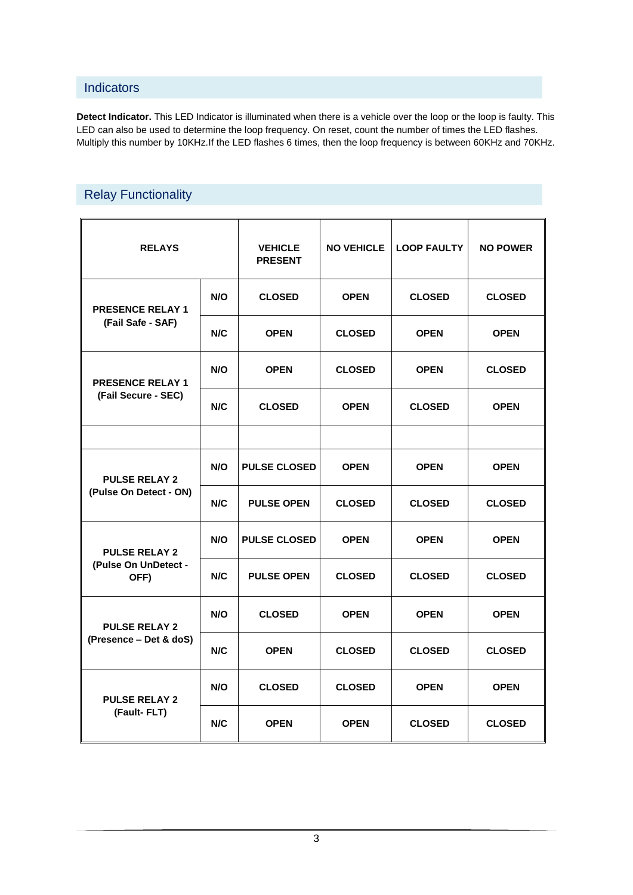#### **Indicators**

**Detect Indicator.** This LED Indicator is illuminated when there is a vehicle over the loop or the loop is faulty. This LED can also be used to determine the loop frequency. On reset, count the number of times the LED flashes. Multiply this number by 10KHz.If the LED flashes 6 times, then the loop frequency is between 60KHz and 70KHz.

# Relay Functionality

| <b>RELAYS</b>                                  |     | <b>VEHICLE</b><br><b>PRESENT</b> | <b>NO VEHICLE</b> | <b>LOOP FAULTY</b> | <b>NO POWER</b> |
|------------------------------------------------|-----|----------------------------------|-------------------|--------------------|-----------------|
| <b>PRESENCE RELAY 1</b>                        | N/O | <b>CLOSED</b>                    | <b>OPEN</b>       | <b>CLOSED</b>      | <b>CLOSED</b>   |
| (Fail Safe - SAF)                              | N/C | <b>OPEN</b>                      | <b>CLOSED</b>     | <b>OPEN</b>        | <b>OPEN</b>     |
| <b>PRESENCE RELAY 1</b>                        | N/O | <b>OPEN</b>                      | <b>CLOSED</b>     | <b>OPEN</b>        | <b>CLOSED</b>   |
| (Fail Secure - SEC)                            | N/C | <b>CLOSED</b>                    | <b>OPEN</b>       | <b>CLOSED</b>      | <b>OPEN</b>     |
|                                                |     |                                  |                   |                    |                 |
| <b>PULSE RELAY 2</b><br>(Pulse On Detect - ON) | N/O | <b>PULSE CLOSED</b>              | <b>OPEN</b>       | <b>OPEN</b>        | <b>OPEN</b>     |
|                                                | N/C | <b>PULSE OPEN</b>                | <b>CLOSED</b>     | <b>CLOSED</b>      | <b>CLOSED</b>   |
| <b>PULSE RELAY 2</b>                           | N/O | <b>PULSE CLOSED</b>              | <b>OPEN</b>       | <b>OPEN</b>        | <b>OPEN</b>     |
| (Pulse On UnDetect -<br>OFF)                   | N/C | <b>PULSE OPEN</b>                | <b>CLOSED</b>     | <b>CLOSED</b>      | <b>CLOSED</b>   |
| <b>PULSE RELAY 2</b>                           | N/O | <b>CLOSED</b>                    | <b>OPEN</b>       | <b>OPEN</b>        | <b>OPEN</b>     |
| (Presence - Det & doS)                         | N/C | <b>OPEN</b>                      | <b>CLOSED</b>     | <b>CLOSED</b>      | <b>CLOSED</b>   |
| <b>PULSE RELAY 2</b><br>(Fault-FLT)            | N/O | <b>CLOSED</b>                    | <b>CLOSED</b>     | <b>OPEN</b>        | <b>OPEN</b>     |
|                                                | N/C | <b>OPEN</b>                      | <b>OPEN</b>       | <b>CLOSED</b>      | <b>CLOSED</b>   |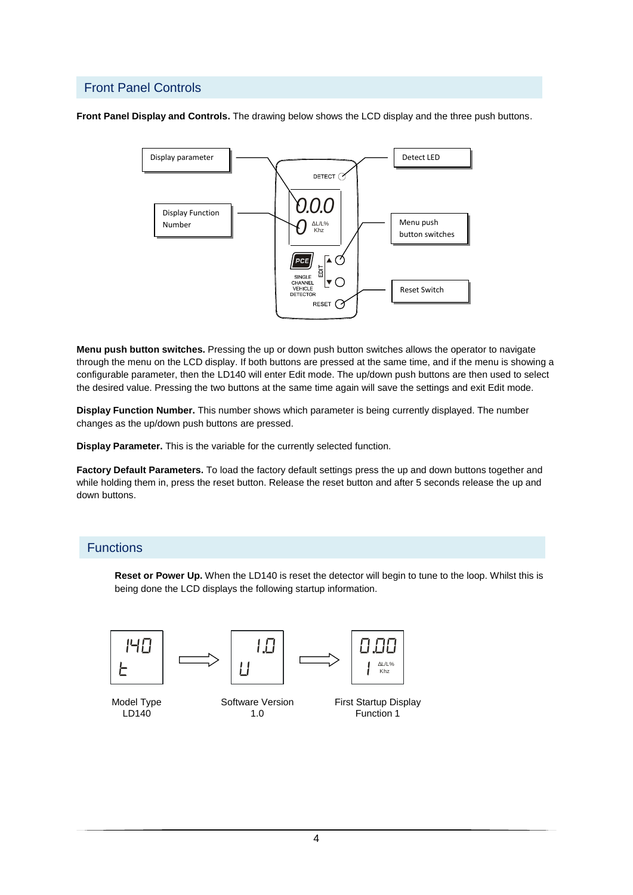#### Front Panel Controls

**Front Panel Display and Controls.** The drawing below shows the LCD display and the three push buttons.



**Menu push button switches.** Pressing the up or down push button switches allows the operator to navigate through the menu on the LCD display. If both buttons are pressed at the same time, and if the menu is showing a configurable parameter, then the LD140 will enter Edit mode. The up/down push buttons are then used to select the desired value. Pressing the two buttons at the same time again will save the settings and exit Edit mode.

**Display Function Number.** This number shows which parameter is being currently displayed. The number changes as the up/down push buttons are pressed.

**Display Parameter.** This is the variable for the currently selected function.

**Factory Default Parameters.** To load the factory default settings press the up and down buttons together and while holding them in, press the reset button. Release the reset button and after 5 seconds release the up and down buttons.

#### **Functions**

**Reset or Power Up.** When the LD140 is reset the detector will begin to tune to the loop. Whilst this is being done the LCD displays the following startup information.



LD140

1.0

First Startup Display Function 1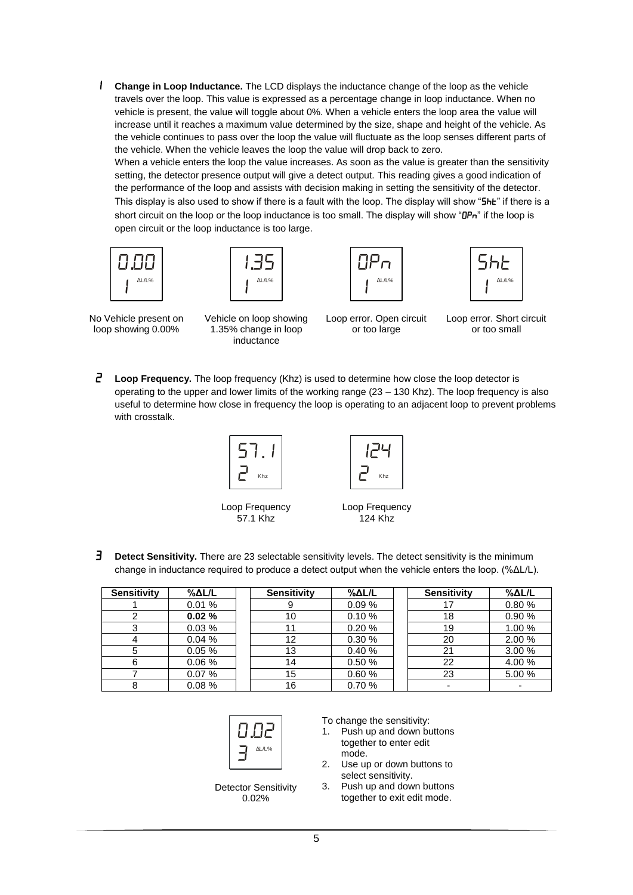1 **Change in Loop Inductance.** The LCD displays the inductance change of the loop as the vehicle travels over the loop. This value is expressed as a percentage change in loop inductance. When no vehicle is present, the value will toggle about 0%. When a vehicle enters the loop area the value will increase until it reaches a maximum value determined by the size, shape and height of the vehicle. As the vehicle continues to pass over the loop the value will fluctuate as the loop senses different parts of the vehicle. When the vehicle leaves the loop the value will drop back to zero.

When a vehicle enters the loop the value increases. As soon as the value is greater than the sensitivity setting, the detector presence output will give a detect output. This reading gives a good indication of the performance of the loop and assists with decision making in setting the sensitivity of the detector. This display is also used to show if there is a fault with the loop. The display will show "5hE" if there is a short circuit on the loop or the loop inductance is too small. The display will show "DPn" if the loop is open circuit or the loop inductance is too large.









No Vehicle present on loop showing 0.00%

Vehicle on loop showing 1.35% change in loop inductance

Loop error. Open circuit or too large

Loop error. Short circuit or too small

 **Loop Frequency.** The loop frequency (Khz) is used to determine how close the loop detector is operating to the upper and lower limits of the working range (23 – 130 Khz). The loop frequency is also useful to determine how close in frequency the loop is operating to an adjacent loop to prevent problems with crosstalk.





Loop Frequency 57.1 Khz

Loop Frequency 124 Khz

 $\overline{J}$  Detect Sensitivity. There are 23 selectable sensitivity levels. The detect sensitivity is the minimum change in inductance required to produce a detect output when the vehicle enters the loop. (%ΔL/L).

| <b>Sensitivity</b> | %AL/L | <b>Sensitivity</b> | $\%$ $\Delta$ L/L | <b>Sensitivity</b> | %AL/L  |
|--------------------|-------|--------------------|-------------------|--------------------|--------|
|                    | 0.01% |                    | 0.09%             |                    | 0.80%  |
|                    | 0.02% | 10                 | 0.10%             | 18                 | 0.90%  |
|                    | 0.03% |                    | 0.20%             | 19                 | 1.00 % |
|                    | 0.04% | 12                 | 0.30%             | 20                 | 2.00 % |
|                    | 0.05% | 13                 | 0.40%             | 21                 | 3.00 % |
| 6                  | 0.06% | 14                 | 0.50%             | 22                 | 4.00%  |
|                    | 0.07% | 15                 | 0.60%             | 23                 | 5.00 % |
|                    | 0.08% | 16                 | 0.70%             |                    |        |



Detector Sensitivity 0.02%

To change the sensitivity:

- 1. Push up and down buttons together to enter edit mode.
- 2. Use up or down buttons to select sensitivity.
- 3. Push up and down buttons together to exit edit mode.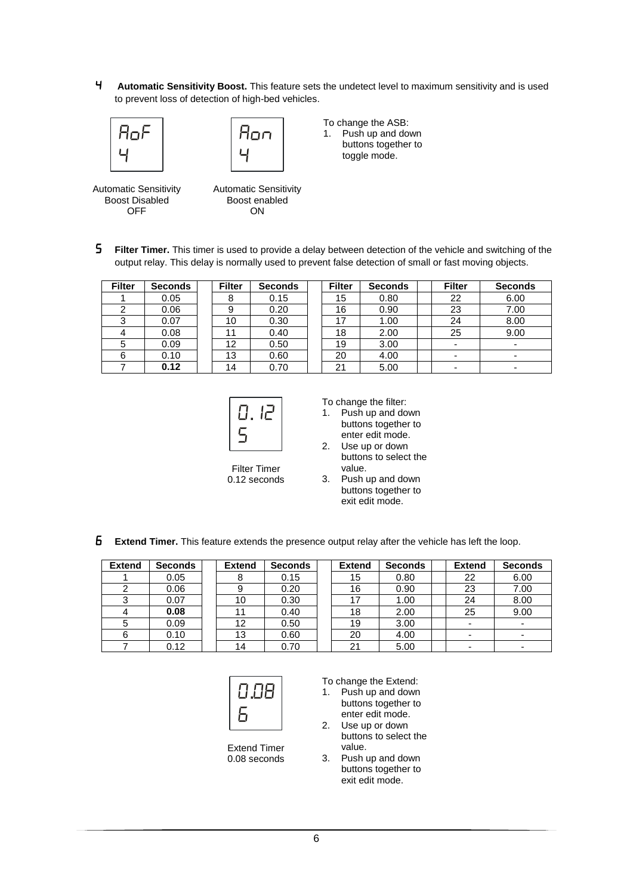4 **Automatic Sensitivity Boost.** This feature sets the undetect level to maximum sensitivity and is used to prevent loss of detection of high-bed vehicles.





To change the ASB: 1. Push up and down

buttons together to toggle mode.

Automatic Sensitivity Boost Disabled OFF

Automatic Sensitivity Boost enabled **ON** 

**5** Filter Timer. This timer is used to provide a delay between detection of the vehicle and switching of the output relay. This delay is normally used to prevent false detection of small or fast moving objects.

| <b>Filter</b> | <b>Seconds</b> | <b>Filter</b> | <b>Seconds</b> | <b>Filter</b> | <b>Seconds</b> | <b>Filter</b> | <b>Seconds</b>           |
|---------------|----------------|---------------|----------------|---------------|----------------|---------------|--------------------------|
|               | 0.05           | 8             | 0.15           | 15            | 0.80           | 22            | 6.00                     |
|               | 0.06           | 9             | 0.20           | 16            | 0.90           | 23            | 7.00                     |
| ົ             | 0.07           | 10            | 0.30           | 17            | 1.00           | 24            | 8.00                     |
|               | 0.08           |               | 0.40           | 18            | 2.00           | 25            | 9.00                     |
| 5             | 0.09           | 12            | 0.50           | 19            | 3.00           |               | $\overline{\phantom{a}}$ |
| 6             | 0.10           | 13            | 0.60           | 20            | 4.00           |               | $\overline{\phantom{0}}$ |
|               | 0.12           | 14            | 0.70           | 21            | 5.00           |               | $\overline{\phantom{0}}$ |



To change the filter:

- 1. Push up and down buttons together to enter edit mode.
- 2. Use up or down buttons to select the value.
- 3. Push up and down buttons together to
	- exit edit mode.
- **Extend Timer.** This feature extends the presence output relay after the vehicle has left the loop.

| <b>Extend</b> | <b>Seconds</b> | <b>Extend</b> | <b>Seconds</b> | <b>Extend</b> | <b>Seconds</b> | <b>Extend</b>            | <b>Seconds</b> |
|---------------|----------------|---------------|----------------|---------------|----------------|--------------------------|----------------|
|               | 0.05           |               | 0.15           | 15            | 0.80           | 22                       | 6.00           |
|               | 0.06           |               | 0.20           | 16            | 0.90           | 23                       | 7.00           |
| C             | 0.07           | 10            | 0.30           | 17            | 1.00           | 24                       | 8.00           |
|               | 0.08           |               | 0.40           | 18            | 2.00           | 25                       | 9.00           |
|               | 0.09           | 12            | 0.50           | 19            | 3.00           | -                        |                |
|               | 0.10           | 13            | 0.60           | 20            | 4.00           | $\overline{\phantom{0}}$ |                |
|               | 0.12           | 14            | 0.70           | 21            | 5.00           | -                        |                |



Extend Timer 0.08 seconds To change the Extend:

- 1. Push up and down buttons together to enter edit mode.
- 2. Use up or down buttons to select the value.
- 3. Push up and down buttons together to exit edit mode.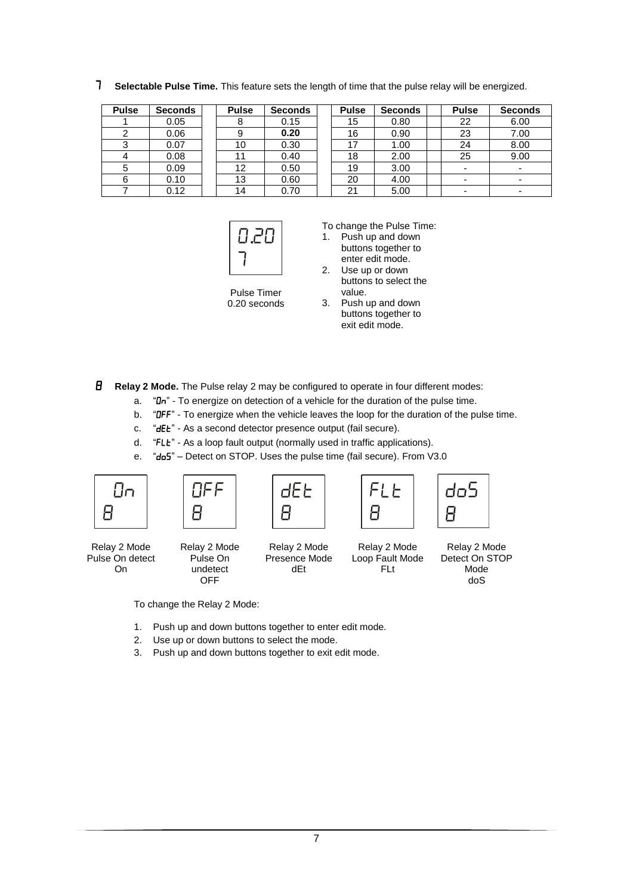7 **Selectable Pulse Time.** This feature sets the length of time that the pulse relay will be energized.

| <b>Pulse</b> | <b>Seconds</b> | <b>Pulse</b> | <b>Seconds</b> | <b>Pulse</b> | <b>Seconds</b> | <b>Pulse</b>             | <b>Seconds</b>           |
|--------------|----------------|--------------|----------------|--------------|----------------|--------------------------|--------------------------|
|              | 0.05           |              | 0.15           | 15           | 0.80           | 22                       | 6.00                     |
|              | 0.06           |              | 0.20           | 16           | 0.90           | 23                       | 7.00                     |
|              | 0.07           | 10           | 0.30           | 17           | 1.00           | 24                       | 8.00                     |
|              | 0.08           |              | 0.40           | 18           | 2.00           | 25                       | 9.00                     |
| 5            | 0.09           | 12           | 0.50           | 19           | 3.00           | ۰                        | $\blacksquare$           |
| 6            | 0.10           | 13           | 0.60           | 20           | 4.00           | ۰                        | $\overline{\phantom{a}}$ |
|              | 0.12           | 14           | 0.70           | 21           | 5.00           | $\overline{\phantom{0}}$ |                          |



To change the Pulse Time:

1. Push up and down buttons together to enter edit mode.

2. Use up or down buttons to select the value.

Pulse Timer 0.20 seconds

|    | vaiut.              |
|----|---------------------|
| 3. | Push up and down    |
|    | buttons together to |
|    | exit edit mode.     |

8 **Relay 2 Mode.** The Pulse relay 2 may be configured to operate in four different modes:

- a.  $H I$  To energize on detection of a vehicle for the duration of the pulse time.
- b. "DFF" To energize when the vehicle leaves the loop for the duration of the pulse time.

c. "dEt" - As a second detector presence output (fail secure).

- d. "FLE" As a loop fault output (normally used in traffic applications).
- e. "do5" Detect on STOP. Uses the pulse time (fail secure). From V3.0



Relay 2 Mode Pulse On detect On



Relay 2 Mode Presence Mode dEt



Relay 2 Mode Detect On STOP Mode doS

To change the Relay 2 Mode:

- 1. Push up and down buttons together to enter edit mode.
- 2. Use up or down buttons to select the mode.
- 3. Push up and down buttons together to exit edit mode.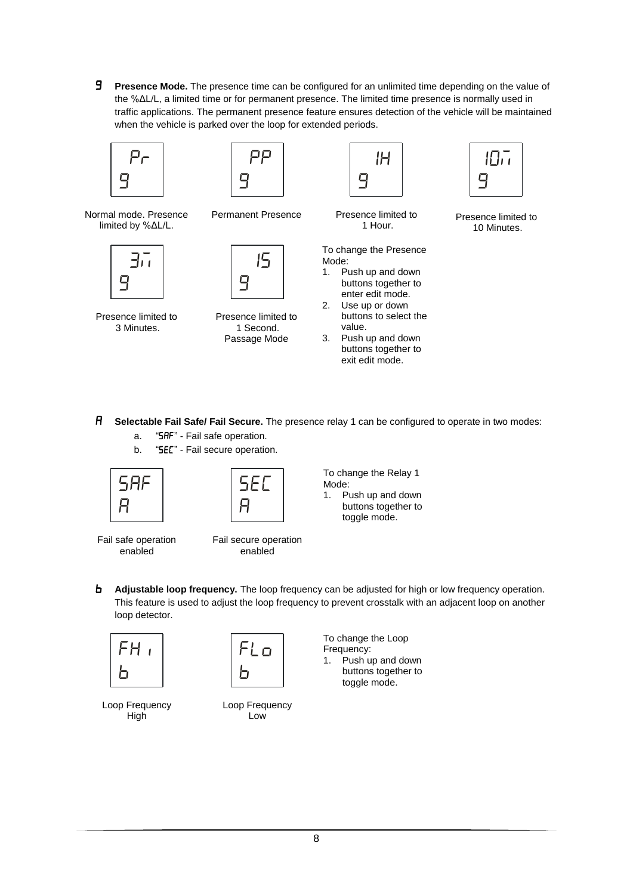**Presence Mode.** The presence time can be configured for an unlimited time depending on the value of the %ΔL/L, a limited time or for permanent presence. The limited time presence is normally used in traffic applications. The permanent presence feature ensures detection of the vehicle will be maintained when the vehicle is parked over the loop for extended periods.







Normal mode. Presence limited by %ΔL/L.



Presence limited to 3 Minutes.





Presence limited to 1 Second. Passage Mode

| Presence limited to |  |
|---------------------|--|

1 Hour.

To change the Presence Mode:

- 1. Push up and down buttons together to enter edit mode.
- 2. Use up or down buttons to select the value.
- 3. Push up and down buttons together to exit edit mode.



Presence limited to 10 Minutes.

- A **Selectable Fail Safe/ Fail Secure.** The presence relay 1 can be configured to operate in two modes: a. "SHF" - Fail safe operation.
	- b. "SEC" Fail secure operation.





To change the Relay 1 Mode: 1. Push up and down buttons together to

Fail secure operation enabled

toggle mode.

- Fail safe operation enabled
- 

**b** Adjustable loop frequency. The loop frequency can be adjusted for high or low frequency operation. This feature is used to adjust the loop frequency to prevent crosstalk with an adjacent loop on another loop detector.



 $FLO$ b

Loop Frequency **High** 

Loop Frequency Low

To change the Loop Frequency:

1. Push up and down buttons together to toggle mode.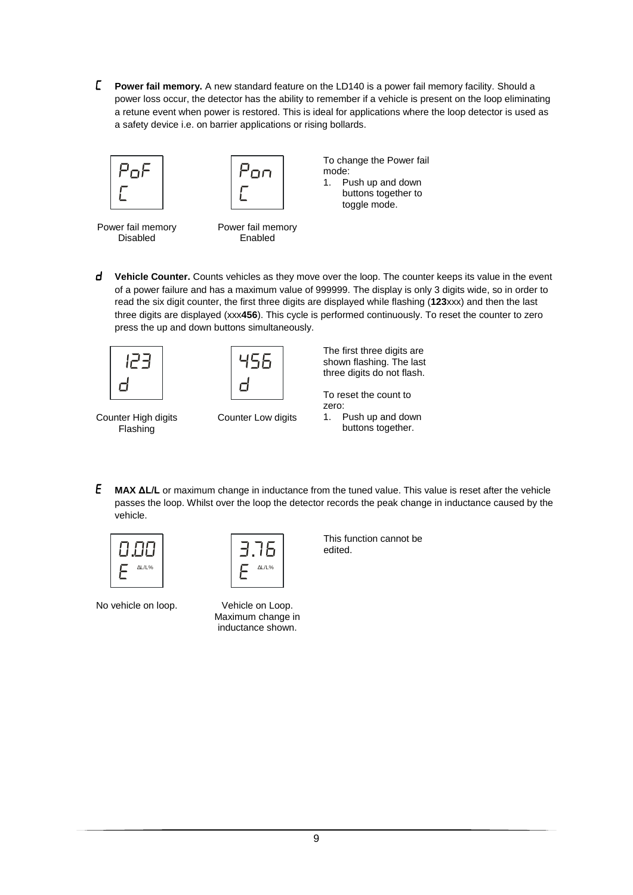**Power fail memory.** A new standard feature on the LD140 is a power fail memory facility. Should a power loss occur, the detector has the ability to remember if a vehicle is present on the loop eliminating a retune event when power is restored. This is ideal for applications where the loop detector is used as a safety device i.e. on barrier applications or rising bollards.





To change the Power fail mode: 1. Push up and down buttons together to toggle mode.

Power fail memory Disabled

Power fail memory Enabled

**d** Vehicle Counter. Counts vehicles as they move over the loop. The counter keeps its value in the event of a power failure and has a maximum value of 999999. The display is only 3 digits wide, so in order to read the six digit counter, the first three digits are displayed while flashing (**123**xxx) and then the last three digits are displayed (xxx**456**). This cycle is performed continuously. To reset the counter to zero press the up and down buttons simultaneously.





Counter High digits Flashing

Counter Low digits

The first three digits are shown flashing. The last three digits do not flash.

To reset the count to zero: 1. Push up and down buttons together.

 **MAX ΔL/L** or maximum change in inductance from the tuned value. This value is reset after the vehicle passes the loop. Whilst over the loop the detector records the peak change in inductance caused by the vehicle.



No vehicle on loop.



Vehicle on Loop. Maximum change in inductance shown.

This function cannot be edited.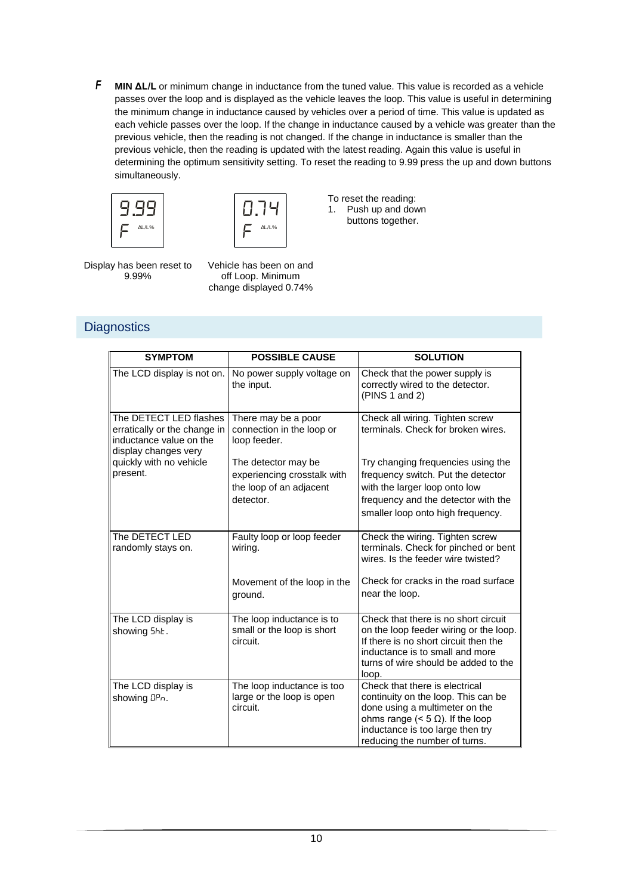F **MIN ΔL/L** or minimum change in inductance from the tuned value. This value is recorded as a vehicle passes over the loop and is displayed as the vehicle leaves the loop. This value is useful in determining the minimum change in inductance caused by vehicles over a period of time. This value is updated as each vehicle passes over the loop. If the change in inductance caused by a vehicle was greater than the previous vehicle, then the reading is not changed. If the change in inductance is smaller than the previous vehicle, then the reading is updated with the latest reading. Again this value is useful in determining the optimum sensitivity setting. To reset the reading to 9.99 press the up and down buttons simultaneously.





To reset the reading: 1. Push up and down buttons together.

Display has been reset to 9.99%

Vehicle has been on and off Loop. Minimum change displayed 0.74%

**Diagnostics** 

| <b>SYMPTOM</b>                                                                                            | <b>POSSIBLE CAUSE</b>                                                         | <b>SOLUTION</b>                                                                                                                                                                                                         |
|-----------------------------------------------------------------------------------------------------------|-------------------------------------------------------------------------------|-------------------------------------------------------------------------------------------------------------------------------------------------------------------------------------------------------------------------|
| The LCD display is not on.                                                                                | No power supply voltage on<br>the input.                                      | Check that the power supply is<br>correctly wired to the detector.<br>(PINS 1 and 2)                                                                                                                                    |
| The DETECT LED flashes<br>erratically or the change in<br>inductance value on the<br>display changes very | There may be a poor<br>connection in the loop or<br>loop feeder.              | Check all wiring. Tighten screw<br>terminals. Check for broken wires.                                                                                                                                                   |
| quickly with no vehicle<br>present.                                                                       | The detector may be<br>experiencing crosstalk with<br>the loop of an adjacent | Try changing frequencies using the<br>frequency switch. Put the detector<br>with the larger loop onto low                                                                                                               |
|                                                                                                           | detector.                                                                     | frequency and the detector with the<br>smaller loop onto high frequency.                                                                                                                                                |
| The DETECT LED<br>randomly stays on.                                                                      | Faulty loop or loop feeder<br>wiring.                                         | Check the wiring. Tighten screw<br>terminals. Check for pinched or bent<br>wires. Is the feeder wire twisted?                                                                                                           |
|                                                                                                           | Movement of the loop in the<br>ground.                                        | Check for cracks in the road surface<br>near the loop.                                                                                                                                                                  |
| The LCD display is<br>showing 5hE.                                                                        | The loop inductance is to<br>small or the loop is short<br>circuit.           | Check that there is no short circuit<br>on the loop feeder wiring or the loop.<br>If there is no short circuit then the<br>inductance is to small and more<br>turns of wire should be added to the<br>loop.             |
| The LCD display is<br>showing DPn.                                                                        | The loop inductance is too<br>large or the loop is open<br>circuit.           | Check that there is electrical<br>continuity on the loop. This can be<br>done using a multimeter on the<br>ohms range (< $5 \Omega$ ). If the loop<br>inductance is too large then try<br>reducing the number of turns. |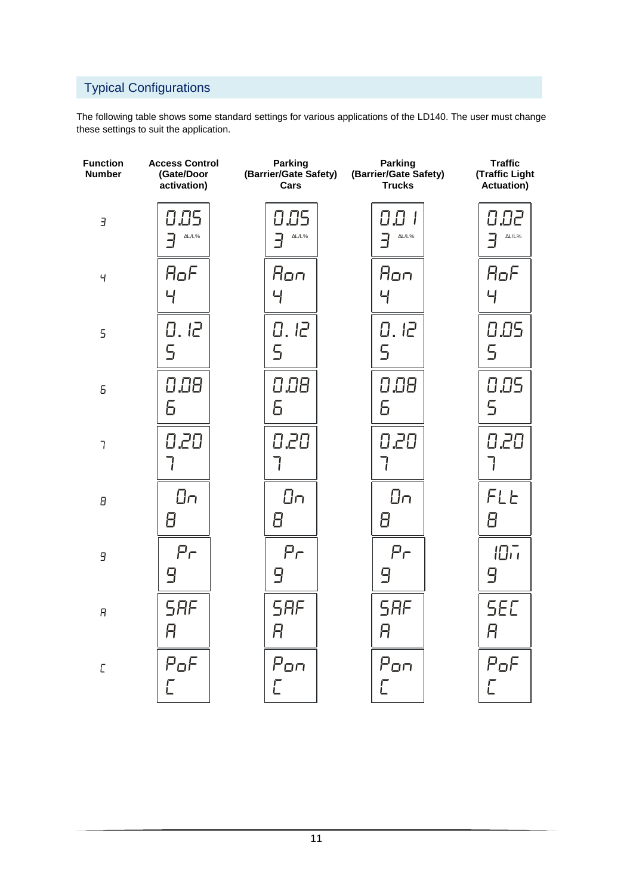# Typical Configurations

The following table shows some standard settings for various applications of the LD140. The user must change these settings to suit the application.

| <b>Function</b><br><b>Number</b> | <b>Access Control</b><br>(Gate/Door<br>activation) | <b>Parking</b><br>(Barrier/Gate Safety)<br>Cars | <b>Parking</b><br>(Barrier/Gate Safety)<br><b>Trucks</b> | <b>Traffic</b><br>(Traffic Light<br>Actuation) |
|----------------------------------|----------------------------------------------------|-------------------------------------------------|----------------------------------------------------------|------------------------------------------------|
| $\overline{J}$                   | 0.05                                               | 0.05                                            | 88 I                                                     | 0.02                                           |
|                                  | AL/L%                                              | AL/L%                                           | AL/L%                                                    | $\Delta L/L\%$                                 |
| Ч                                | AoF                                                | Aon                                             | Aon                                                      | AoF                                            |
|                                  | $\overline{4}$                                     | 닉                                               | 닉                                                        | Ч                                              |
| $\overline{5}$                   | 0, l <sup>2</sup>                                  | 0, l <sup>2</sup>                               | 0, l <sup>2</sup>                                        | 0.05                                           |
|                                  | 5                                                  | 5                                               | 5                                                        | 5                                              |
| 6                                | 0.08                                               | 0.08                                            | 0.08                                                     | 0.05                                           |
|                                  | 6                                                  | 6                                               | 6                                                        | $\overline{5}$                                 |
| $\overline{1}$                   | 0,20                                               | 0.20                                            | 020                                                      | 020<br>7                                       |
| θ                                | Ūπ                                                 | $\Box$                                          | $\Box$                                                   | FLE                                            |
|                                  | 8                                                  | 8                                               | Β                                                        | 8                                              |
| 9                                | $P_{\Gamma}$                                       | Pr                                              | Pr                                                       | 107                                            |
|                                  | 9                                                  | 9                                               | 9                                                        | 9                                              |
| $\boldsymbol{\mathsf{H}}$        | <b>SRF</b>                                         | <b>SRF</b>                                      | <b>SAF</b>                                               | <b>SEC</b>                                     |
|                                  | A                                                  | A                                               | Ĥ                                                        | A                                              |
| $\sqrt{2}$                       | PoF                                                | Pon                                             | Pon                                                      | PoF                                            |
|                                  | Ē                                                  | Г                                               | Г                                                        | $\overline{\mathsf{L}}$                        |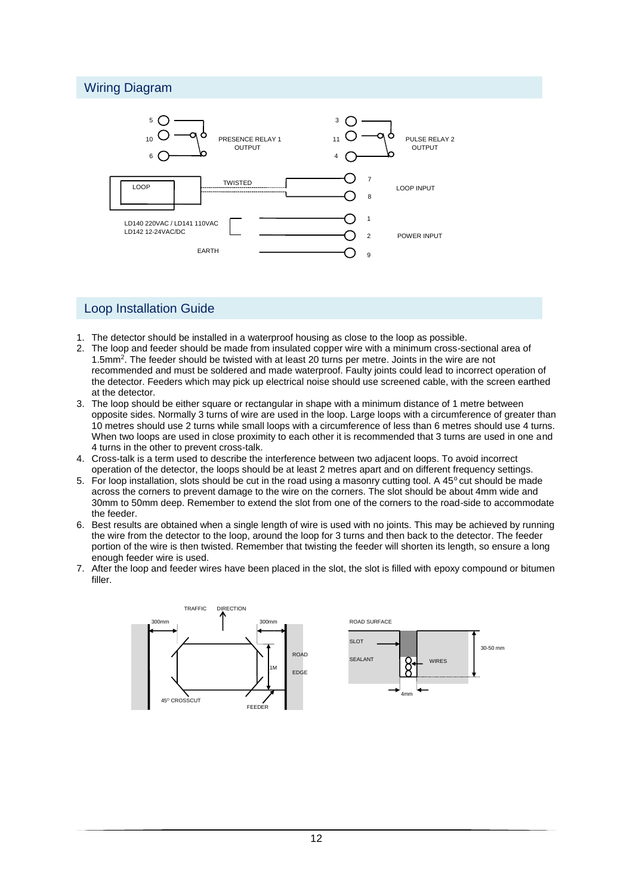#### Wiring Diagram



#### Loop Installation Guide

- 1. The detector should be installed in a waterproof housing as close to the loop as possible.
- 2. The loop and feeder should be made from insulated copper wire with a minimum cross-sectional area of 1.5mm<sup>2</sup> . The feeder should be twisted with at least 20 turns per metre. Joints in the wire are not recommended and must be soldered and made waterproof. Faulty joints could lead to incorrect operation of the detector. Feeders which may pick up electrical noise should use screened cable, with the screen earthed at the detector.
- 3. The loop should be either square or rectangular in shape with a minimum distance of 1 metre between opposite sides. Normally 3 turns of wire are used in the loop. Large loops with a circumference of greater than 10 metres should use 2 turns while small loops with a circumference of less than 6 metres should use 4 turns. When two loops are used in close proximity to each other it is recommended that 3 turns are used in one and 4 turns in the other to prevent cross-talk.
- 4. Cross-talk is a term used to describe the interference between two adjacent loops. To avoid incorrect operation of the detector, the loops should be at least 2 metres apart and on different frequency settings.
- 5. For loop installation, slots should be cut in the road using a masonry cutting tool. A 45° cut should be made across the corners to prevent damage to the wire on the corners. The slot should be about 4mm wide and 30mm to 50mm deep. Remember to extend the slot from one of the corners to the road-side to accommodate the feeder.
- 6. Best results are obtained when a single length of wire is used with no joints. This may be achieved by running the wire from the detector to the loop, around the loop for 3 turns and then back to the detector. The feeder portion of the wire is then twisted. Remember that twisting the feeder will shorten its length, so ensure a long enough feeder wire is used.
- 7. After the loop and feeder wires have been placed in the slot, the slot is filled with epoxy compound or bitumen filler.

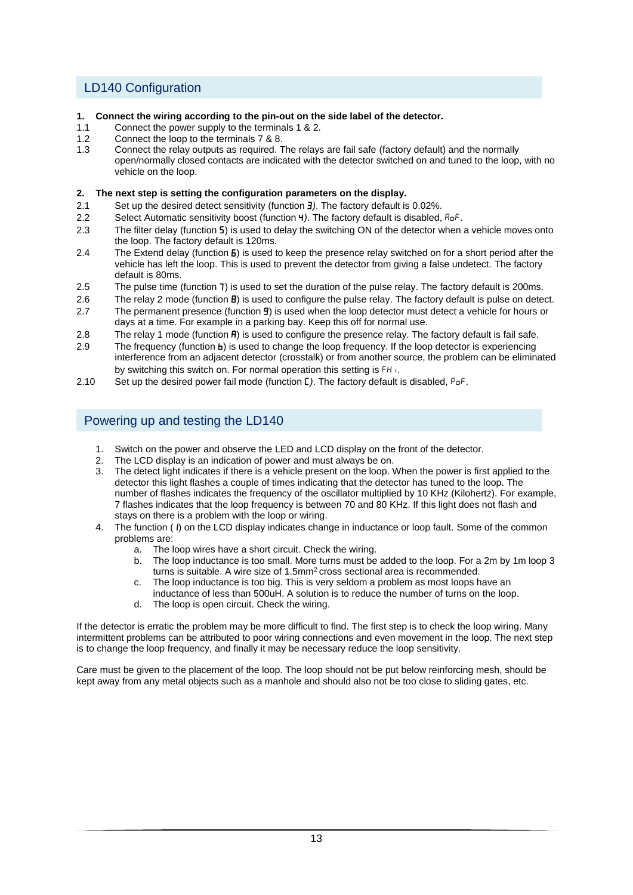## LD140 Configuration

- **1. Connect the wiring according to the pin-out on the side label of the detector.**
- 1.1 Connect the power supply to the terminals 1 & 2.
- 1.2 Connect the loop to the terminals 7 & 8.<br>1.3 Connect the relay outputs as required.
- 1.3 Connect the relay outputs as required. The relays are fail safe (factory default) and the normally open/normally closed contacts are indicated with the detector switched on and tuned to the loop, with no vehicle on the loop.

#### **2. The next step is setting the configuration parameters on the display.**

- 2.1 Set up the desired detect sensitivity (function *)*. The factory default is 0.02%.
- 2.2 Select Automatic sensitivity boost (function 4*)*. The factory default is disabled, AoF.
- 2.3 The filter delay (function 5) is used to delay the switching ON of the detector when a vehicle moves onto the loop. The factory default is 120ms.
- 2.4 The Extend delay (function  $\bf{5}$ ) is used to keep the presence relay switched on for a short period after the vehicle has left the loop. This is used to prevent the detector from giving a false undetect. The factory default is 80ms.
- 2.5 The pulse time (function 7) is used to set the duration of the pulse relay. The factory default is 200ms.
- 2.6 The relay 2 mode (function **B**) is used to configure the pulse relay. The factory default is pulse on detect.
- 2.7 The permanent presence (function **9**) is used when the loop detector must detect a vehicle for hours or days at a time. For example in a parking bay. Keep this off for normal use.
- 2.8 The relay 1 mode (function  $\vec{H}$ ) is used to configure the presence relay. The factory default is fail safe.
- 2.9 The frequency (function **b**) is used to change the loop frequency. If the loop detector is experiencing interference from an adjacent detector (crosstalk) or from another source, the problem can be eliminated by switching this switch on. For normal operation this setting is FH<sub>i</sub>.
- 2.10 Set up the desired power fail mode (function **[**). The factory default is disabled, P<sub>o</sub>F.

#### Powering up and testing the LD140

- 1. Switch on the power and observe the LED and LCD display on the front of the detector.
- 2. The LCD display is an indication of power and must always be on.
- 3. The detect light indicates if there is a vehicle present on the loop. When the power is first applied to the detector this light flashes a couple of times indicating that the detector has tuned to the loop. The number of flashes indicates the frequency of the oscillator multiplied by 10 KHz (Kilohertz). For example, 7 flashes indicates that the loop frequency is between 70 and 80 KHz. If this light does not flash and stays on there is a problem with the loop or wiring.
- 4. The function (1) on the LCD display indicates change in inductance or loop fault. Some of the common problems are:
	- a. The loop wires have a short circuit. Check the wiring.
	- b. The loop inductance is too small. More turns must be added to the loop. For a 2m by 1m loop 3 turns is suitable. A wire size of 1.5mm<sup>2</sup> cross sectional area is recommended.
	- c. The loop inductance is too big. This is very seldom a problem as most loops have an inductance of less than 500uH. A solution is to reduce the number of turns on the loop.
	- d. The loop is open circuit. Check the wiring.

If the detector is erratic the problem may be more difficult to find. The first step is to check the loop wiring. Many intermittent problems can be attributed to poor wiring connections and even movement in the loop. The next step is to change the loop frequency, and finally it may be necessary reduce the loop sensitivity.

Care must be given to the placement of the loop. The loop should not be put below reinforcing mesh, should be kept away from any metal objects such as a manhole and should also not be too close to sliding gates, etc.